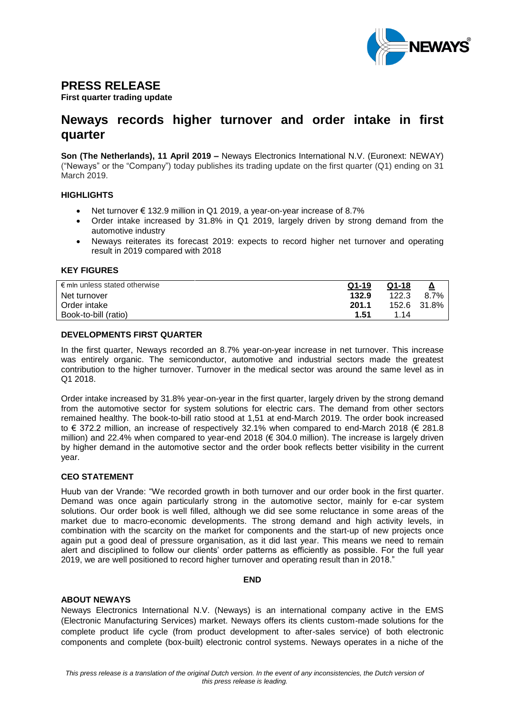

# **PRESS RELEASE**

**First quarter trading update** 

# **Neways records higher turnover and order intake in first quarter**

**Son (The Netherlands), 11 April 2019 –** Neways Electronics International N.V. (Euronext: NEWAY) ("Neways" or the "Company") today publishes its trading update on the first quarter (Q1) ending on 31 March 2019.

#### **HIGHLIGHTS**

- Net turnover € 132.9 million in Q1 2019, a year-on-year increase of 8.7%
- Order intake increased by 31.8% in Q1 2019, largely driven by strong demand from the automotive industry
- Neways reiterates its forecast 2019: expects to record higher net turnover and operating result in 2019 compared with 2018

#### **KEY FIGURES**

| $\epsilon$ mln unless stated otherwise | $Q1-19$ | $Q1-18$ | ≙           |
|----------------------------------------|---------|---------|-------------|
| Net turnover                           | 132.9   | 122.3   | 8.7%        |
| Order intake                           | 201.1   |         | 152.6 31.8% |
| Book-to-bill (ratio)                   | 1.51    | 1.14    |             |

#### **DEVELOPMENTS FIRST QUARTER**

In the first quarter, Neways recorded an 8.7% year-on-year increase in net turnover. This increase was entirely organic. The semiconductor, automotive and industrial sectors made the greatest contribution to the higher turnover. Turnover in the medical sector was around the same level as in Q1 2018.

Order intake increased by 31.8% year-on-year in the first quarter, largely driven by the strong demand from the automotive sector for system solutions for electric cars. The demand from other sectors remained healthy. The book-to-bill ratio stood at 1,51 at end-March 2019. The order book increased to € 372.2 million, an increase of respectively 32.1% when compared to end-March 2018 (€ 281.8 million) and 22.4% when compared to year-end 2018 (€ 304.0 million). The increase is largely driven by higher demand in the automotive sector and the order book reflects better visibility in the current year.

## **CEO STATEMENT**

Huub van der Vrande: "We recorded growth in both turnover and our order book in the first quarter. Demand was once again particularly strong in the automotive sector, mainly for e-car system solutions. Our order book is well filled, although we did see some reluctance in some areas of the market due to macro-economic developments. The strong demand and high activity levels, in combination with the scarcity on the market for components and the start-up of new projects once again put a good deal of pressure organisation, as it did last year. This means we need to remain alert and disciplined to follow our clients' order patterns as efficiently as possible. For the full year 2019, we are well positioned to record higher turnover and operating result than in 2018."

#### **END**

#### **ABOUT NEWAYS**

Neways Electronics International N.V. (Neways) is an international company active in the EMS (Electronic Manufacturing Services) market. Neways offers its clients custom-made solutions for the complete product life cycle (from product development to after-sales service) of both electronic components and complete (box-built) electronic control systems. Neways operates in a niche of the